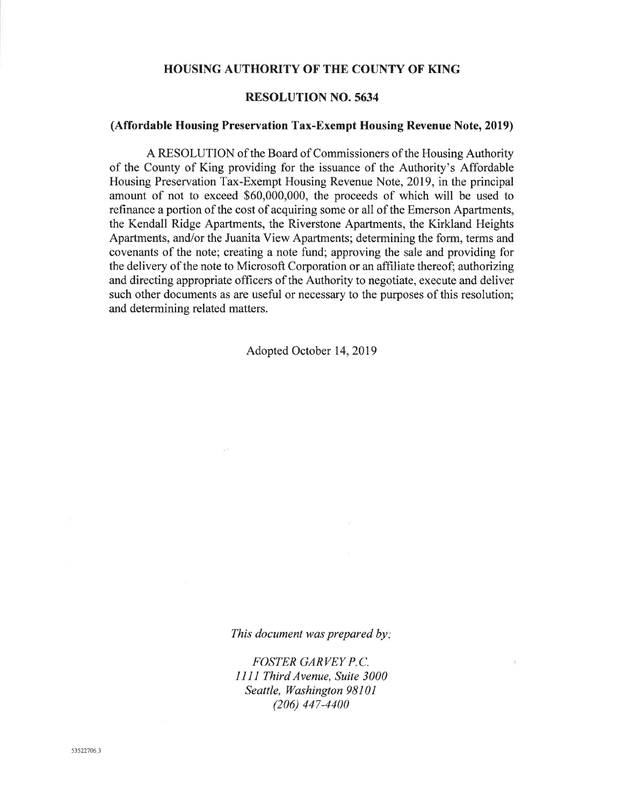### **HOUSING AUTHORITY OF THE COUNTY OF KING**

### **RESOLUTION NO. 5634**

### (Affordable Housing Preservation Tax-Exempt Housing Revenue Note, 2019)

A RESOLUTION of the Board of Commissioners of the Housing Authority of the County of King providing for the issuance of the Authority's Affordable Housing Preservation Tax-Exempt Housing Revenue Note, 2019, in the principal amount of not to exceed \$60,000,000, the proceeds of which will be used to refinance a portion of the cost of acquiring some or all of the Emerson Apartments, the Kendall Ridge Apartments, the Riverstone Apartments, the Kirkland Heights Apartments, and/or the Juanita View Apartments; determining the form, terms and covenants of the note; creating a note fund; approving the sale and providing for the delivery of the note to Microsoft Corporation or an affiliate thereof; authorizing and directing appropriate officers of the Authority to negotiate, execute and deliver such other documents as are useful or necessary to the purposes of this resolution; and determining related matters.

Adopted October 14, 2019

This document was prepared by:

**FOSTER GARVEY P.C.** 1111 Third Avenue, Suite 3000 Seattle, Washington 98101  $(206)$  447-4400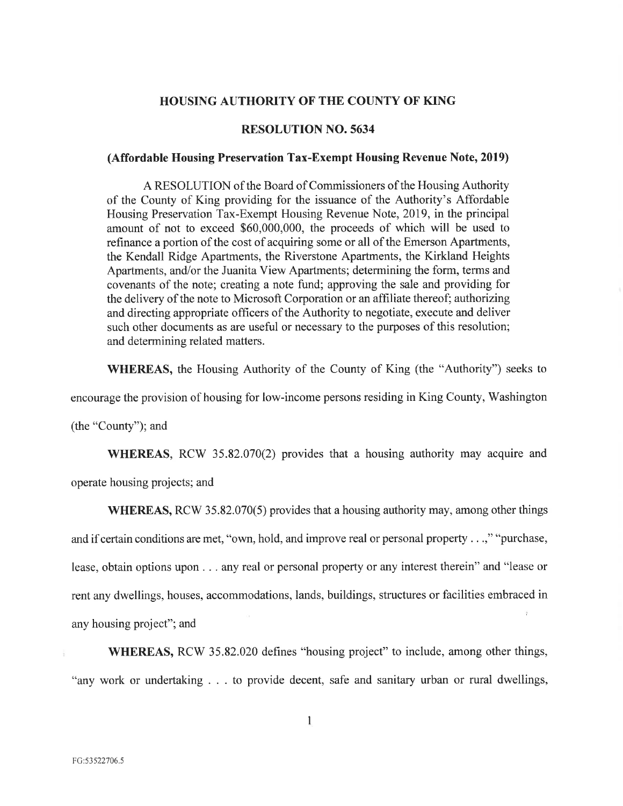### **HOUSING AUTHORITY OF THE COUNTY OF KING**

### **RESOLUTION NO. 5634**

### (Affordable Housing Preservation Tax-Exempt Housing Revenue Note, 2019)

A RESOLUTION of the Board of Commissioners of the Housing Authority of the County of King providing for the issuance of the Authority's Affordable Housing Preservation Tax-Exempt Housing Revenue Note, 2019, in the principal amount of not to exceed \$60,000,000, the proceeds of which will be used to refinance a portion of the cost of acquiring some or all of the Emerson Apartments, the Kendall Ridge Apartments, the Riverstone Apartments, the Kirkland Heights Apartments, and/or the Juanita View Apartments; determining the form, terms and covenants of the note; creating a note fund; approving the sale and providing for the delivery of the note to Microsoft Corporation or an affiliate thereof; authorizing and directing appropriate officers of the Authority to negotiate, execute and deliver such other documents as are useful or necessary to the purposes of this resolution; and determining related matters.

**WHEREAS,** the Housing Authority of the County of King (the "Authority") seeks to

encourage the provision of housing for low-income persons residing in King County, Washington

(the "County"); and

**WHEREAS**, RCW 35.82.070(2) provides that a housing authority may acquire and operate housing projects; and

**WHEREAS, RCW** 35.82.070(5) provides that a housing authority may, among other things and if certain conditions are met, "own, hold, and improve real or personal property . . .," "purchase, lease, obtain options upon . . . any real or personal property or any interest therein" and "lease or rent any dwellings, houses, accommodations, lands, buildings, structures or facilities embraced in any housing project"; and

**WHEREAS, RCW** 35.82.020 defines "housing project" to include, among other things, "any work or undertaking . . . to provide decent, safe and sanitary urban or rural dwellings,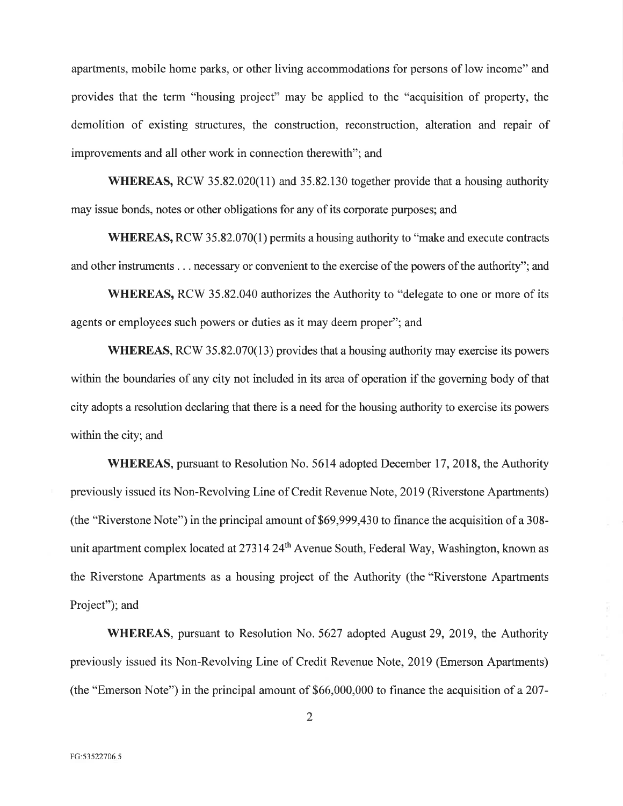apartments, mobile home parks, or other living accommodations for persons of low income" and provides that the term "housing project" may be applied to the "acquisition of property, the demolition of existing structures, the construction, reconstruction, alteration and repair of improvements and all other work in connection therewith"; and

**WHEREAS, RCW** 35.82.020(11) and 35.82.130 together provide that a housing authority may issue bonds, notes or other obligations for any of its corporate purposes; and

**WHEREAS, RCW** 35.82.070(1) permits a housing authority to "make and execute contracts and other instruments . . . necessary or convenient to the exercise of the powers of the authority"; and

**WHEREAS, RCW 35.82.040 authorizes the Authority to "delegate to one or more of its** agents or employees such powers or duties as it may deem proper"; and

**WHEREAS, RCW 35.82.070(13) provides that a housing authority may exercise its powers** within the boundaries of any city not included in its area of operation if the governing body of that city adopts a resolution declaring that there is a need for the housing authority to exercise its powers within the city; and

**WHEREAS**, pursuant to Resolution No. 5614 adopted December 17, 2018, the Authority previously issued its Non-Revolving Line of Credit Revenue Note, 2019 (Riverstone Apartments) (the "Riverstone Note") in the principal amount of \$69,999,430 to finance the acquisition of a 308unit apartment complex located at 27314 24<sup>th</sup> Avenue South, Federal Way, Washington, known as the Riverstone Apartments as a housing project of the Authority (the "Riverstone Apartments Project"); and

**WHEREAS**, pursuant to Resolution No. 5627 adopted August 29, 2019, the Authority previously issued its Non-Revolving Line of Credit Revenue Note, 2019 (Emerson Apartments) (the "Emerson Note") in the principal amount of \$66,000,000 to finance the acquisition of a 207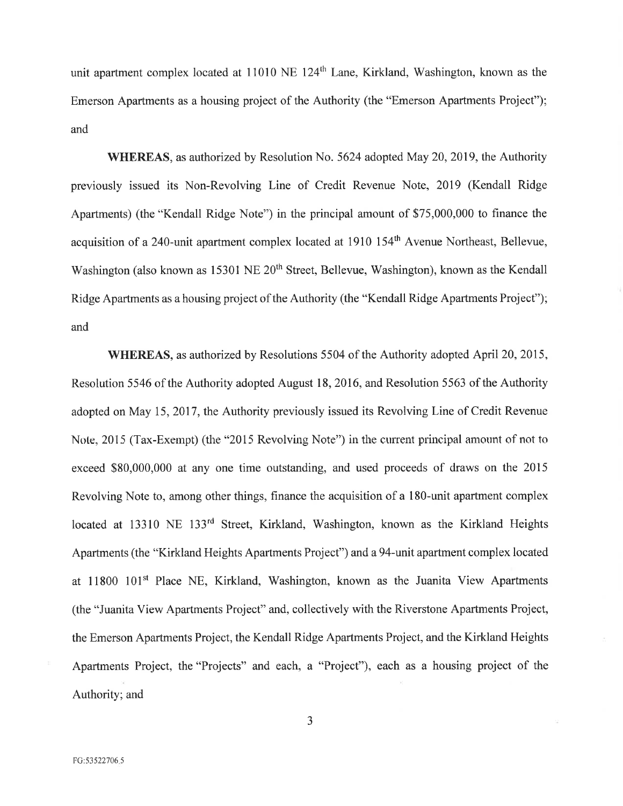unit apartment complex located at 11010 NE 124<sup>th</sup> Lane, Kirkland, Washington, known as the Emerson Apartments as a housing project of the Authority (the "Emerson Apartments Project"); and

**WHEREAS**, as authorized by Resolution No. 5624 adopted May 20, 2019, the Authority previously issued its Non-Revolving Line of Credit Revenue Note, 2019 (Kendall Ridge Apartments) (the "Kendall Ridge Note") in the principal amount of \$75,000,000 to finance the acquisition of a 240-unit apartment complex located at 1910 154<sup>th</sup> Avenue Northeast, Bellevue, Washington (also known as 15301 NE 20<sup>th</sup> Street, Bellevue, Washington), known as the Kendall Ridge Apartments as a housing project of the Authority (the "Kendall Ridge Apartments Project"); and

**WHEREAS**, as authorized by Resolutions 5504 of the Authority adopted April 20, 2015, Resolution 5546 of the Authority adopted August 18, 2016, and Resolution 5563 of the Authority adopted on May 15, 2017, the Authority previously issued its Revolving Line of Credit Revenue Note, 2015 (Tax-Exempt) (the "2015 Revolving Note") in the current principal amount of not to exceed \$80,000,000 at any one time outstanding, and used proceeds of draws on the 2015 Revolving Note to, among other things, finance the acquisition of a 180-unit apartment complex located at 13310 NE 133<sup>rd</sup> Street, Kirkland, Washington, known as the Kirkland Heights Apartments (the "Kirkland Heights Apartments Project") and a 94-unit apartment complex located at 11800 101<sup>st</sup> Place NE, Kirkland, Washington, known as the Juanita View Apartments (the "Juanita View Apartments Project" and, collectively with the Riverstone Apartments Project, the Emerson Apartments Project, the Kendall Ridge Apartments Project, and the Kirkland Heights Apartments Project, the "Projects" and each, a "Project"), each as a housing project of the Authority; and

3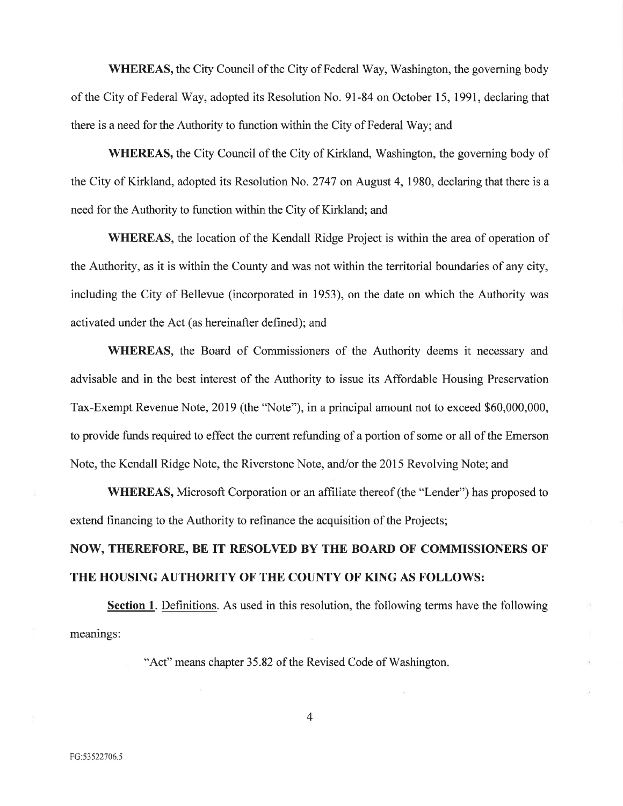**WHEREAS, the City Council of the City of Federal Way, Washington, the governing body** of the City of Federal Way, adopted its Resolution No. 91-84 on October 15, 1991, declaring that there is a need for the Authority to function within the City of Federal Way; and

**WHEREAS,** the City Council of the City of Kirkland, Washington, the governing body of the City of Kirkland, adopted its Resolution No. 2747 on August 4, 1980, declaring that there is a need for the Authority to function within the City of Kirkland; and

**WHEREAS**, the location of the Kendall Ridge Project is within the area of operation of the Authority, as it is within the County and was not within the territorial boundaries of any city, including the City of Bellevue (incorporated in 1953), on the date on which the Authority was activated under the Act (as hereinafter defined); and

WHEREAS, the Board of Commissioners of the Authority deems it necessary and advisable and in the best interest of the Authority to issue its Affordable Housing Preservation Tax-Exempt Revenue Note, 2019 (the "Note"), in a principal amount not to exceed \$60,000,000, to provide funds required to effect the current refunding of a portion of some or all of the Emerson Note, the Kendall Ridge Note, the Riverstone Note, and/or the 2015 Revolving Note; and

**WHEREAS,** Microsoft Corporation or an affiliate thereof (the "Lender") has proposed to extend financing to the Authority to refinance the acquisition of the Projects;

## NOW, THEREFORE, BE IT RESOLVED BY THE BOARD OF COMMISSIONERS OF THE HOUSING AUTHORITY OF THE COUNTY OF KING AS FOLLOWS:

**Section 1.** Definitions. As used in this resolution, the following terms have the following meanings:

"Act" means chapter 35.82 of the Revised Code of Washington.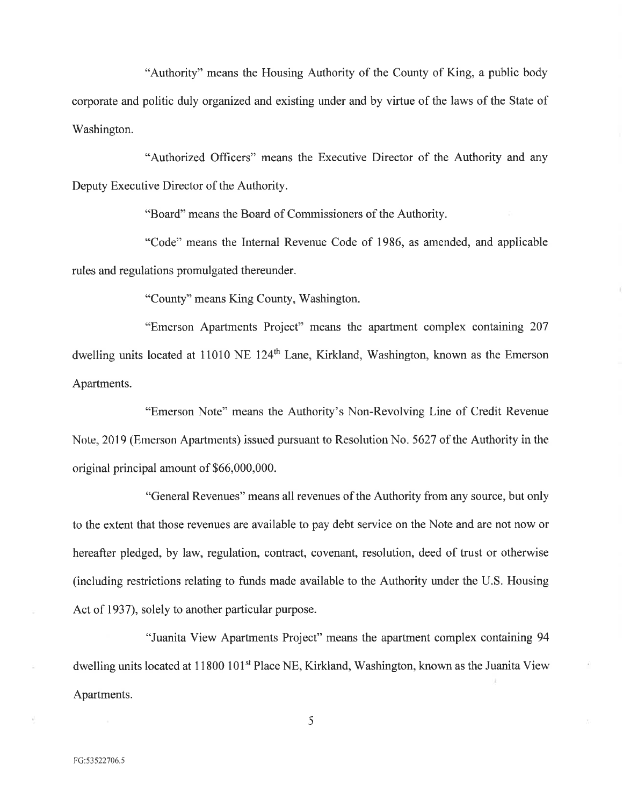"Authority" means the Housing Authority of the County of King, a public body corporate and politic duly organized and existing under and by virtue of the laws of the State of Washington.

"Authorized Officers" means the Executive Director of the Authority and any Deputy Executive Director of the Authority.

"Board" means the Board of Commissioners of the Authority.

"Code" means the Internal Revenue Code of 1986, as amended, and applicable rules and regulations promulgated thereunder.

"County" means King County, Washington.

"Emerson Apartments Project" means the apartment complex containing 207 dwelling units located at 11010 NE 124<sup>th</sup> Lane, Kirkland, Washington, known as the Emerson Apartments.

"Emerson Note" means the Authority's Non-Revolving Line of Credit Revenue Note, 2019 (Emerson Apartments) issued pursuant to Resolution No. 5627 of the Authority in the original principal amount of \$66,000,000.

"General Revenues" means all revenues of the Authority from any source, but only to the extent that those revenues are available to pay debt service on the Note and are not now or hereafter pledged, by law, regulation, contract, covenant, resolution, deed of trust or otherwise (including restrictions relating to funds made available to the Authority under the U.S. Housing Act of 1937), solely to another particular purpose.

"Juanita View Apartments Project" means the apartment complex containing 94 dwelling units located at 11800 101<sup>st</sup> Place NE, Kirkland, Washington, known as the Juanita View Apartments.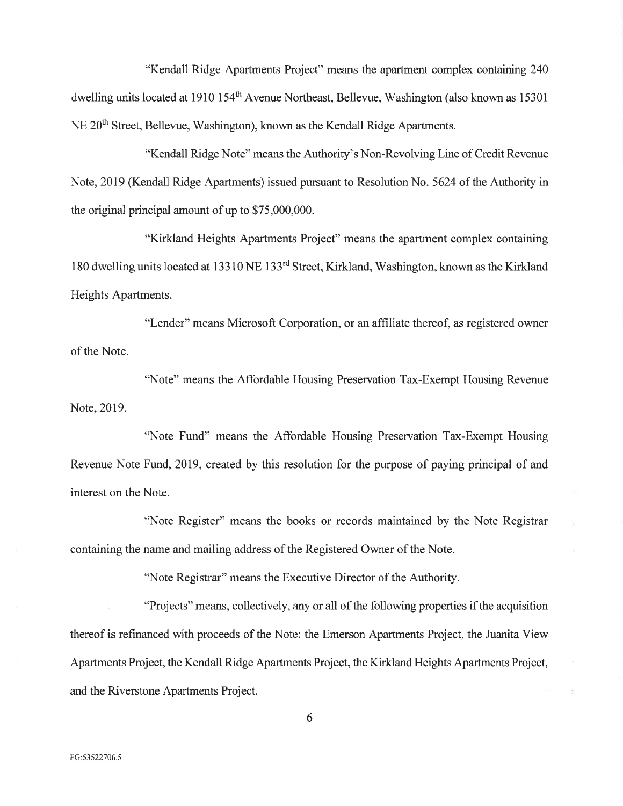"Kendall Ridge Apartments Project" means the apartment complex containing 240 dwelling units located at 1910 154<sup>th</sup> Avenue Northeast, Bellevue, Washington (also known as 15301) NE 20<sup>th</sup> Street, Bellevue, Washington), known as the Kendall Ridge Apartments.

"Kendall Ridge Note" means the Authority's Non-Revolving Line of Credit Revenue Note, 2019 (Kendall Ridge Apartments) issued pursuant to Resolution No. 5624 of the Authority in the original principal amount of up to \$75,000,000.

"Kirkland Heights Apartments Project" means the apartment complex containing 180 dwelling units located at 13310 NE 133<sup>rd</sup> Street, Kirkland, Washington, known as the Kirkland Heights Apartments.

"Lender" means Microsoft Corporation, or an affiliate thereof, as registered owner of the Note.

"Note" means the Affordable Housing Preservation Tax-Exempt Housing Revenue Note, 2019.

"Note Fund" means the Affordable Housing Preservation Tax-Exempt Housing Revenue Note Fund, 2019, created by this resolution for the purpose of paying principal of and interest on the Note.

"Note Register" means the books or records maintained by the Note Registrar containing the name and mailing address of the Registered Owner of the Note.

"Note Registrar" means the Executive Director of the Authority.

"Projects" means, collectively, any or all of the following properties if the acquisition thereof is refinanced with proceeds of the Note: the Emerson Apartments Project, the Juanita View Apartments Project, the Kendall Ridge Apartments Project, the Kirkland Heights Apartments Project, and the Riverstone Apartments Project.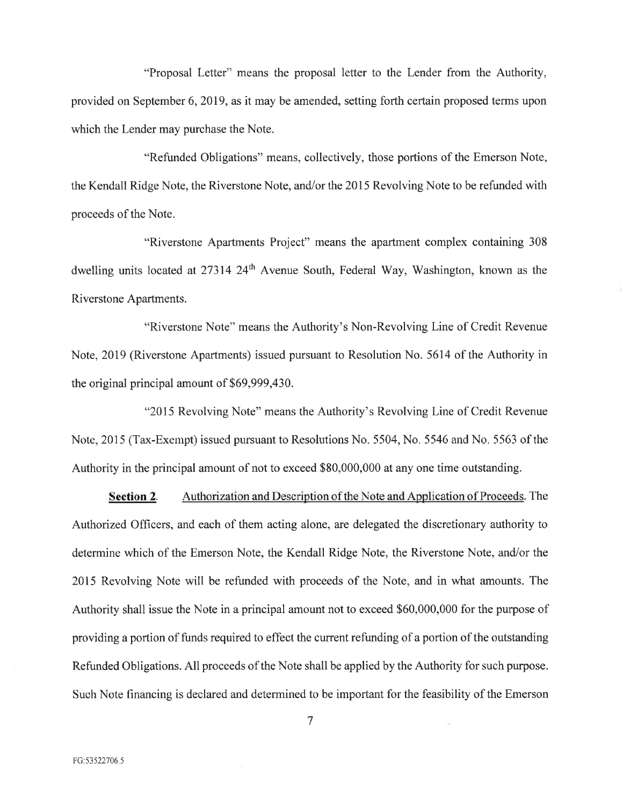"Proposal Letter" means the proposal letter to the Lender from the Authority, provided on September 6, 2019, as it may be amended, setting forth certain proposed terms upon which the Lender may purchase the Note.

"Refunded Obligations" means, collectively, those portions of the Emerson Note, the Kendall Ridge Note, the Riverstone Note, and/or the 2015 Revolving Note to be refunded with proceeds of the Note.

"Riverstone Apartments Project" means the apartment complex containing 308 dwelling units located at 27314 24<sup>th</sup> Avenue South, Federal Way, Washington, known as the Riverstone Apartments.

"Riverstone Note" means the Authority's Non-Revolving Line of Credit Revenue Note, 2019 (Riverstone Apartments) issued pursuant to Resolution No. 5614 of the Authority in the original principal amount of \$69,999,430.

"2015 Revolving Note" means the Authority's Revolving Line of Credit Revenue Note, 2015 (Tax-Exempt) issued pursuant to Resolutions No. 5504, No. 5546 and No. 5563 of the Authority in the principal amount of not to exceed \$80,000,000 at any one time outstanding.

Authorization and Description of the Note and Application of Proceeds. The **Section 2.** Authorized Officers, and each of them acting alone, are delegated the discretionary authority to determine which of the Emerson Note, the Kendall Ridge Note, the Riverstone Note, and/or the 2015 Revolving Note will be refunded with proceeds of the Note, and in what amounts. The Authority shall issue the Note in a principal amount not to exceed \$60,000,000 for the purpose of providing a portion of funds required to effect the current refunding of a portion of the outstanding Refunded Obligations. All proceeds of the Note shall be applied by the Authority for such purpose. Such Note financing is declared and determined to be important for the feasibility of the Emerson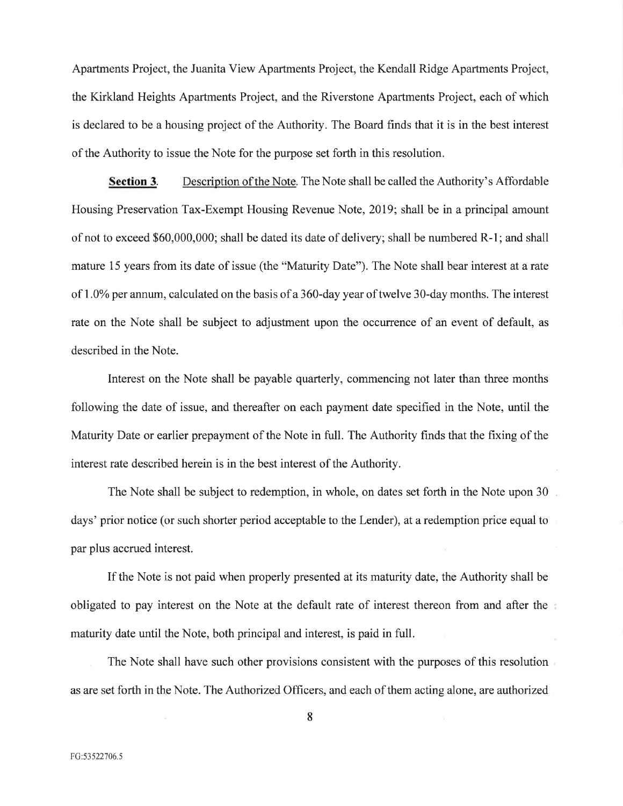Apartments Project, the Juanita View Apartments Project, the Kendall Ridge Apartments Project, the Kirkland Heights Apartments Project, and the Riverstone Apartments Project, each of which is declared to be a housing project of the Authority. The Board finds that it is in the best interest of the Authority to issue the Note for the purpose set forth in this resolution.

Description of the Note. The Note shall be called the Authority's Affordable **Section 3.** Housing Preservation Tax-Exempt Housing Revenue Note, 2019; shall be in a principal amount of not to exceed \$60,000,000; shall be dated its date of delivery; shall be numbered R-1; and shall mature 15 years from its date of issue (the "Maturity Date"). The Note shall bear interest at a rate of 1.0% per annum, calculated on the basis of a 360-day year of twelve 30-day months. The interest rate on the Note shall be subject to adjustment upon the occurrence of an event of default, as described in the Note.

Interest on the Note shall be payable quarterly, commencing not later than three months following the date of issue, and thereafter on each payment date specified in the Note, until the Maturity Date or earlier prepayment of the Note in full. The Authority finds that the fixing of the interest rate described herein is in the best interest of the Authority.

The Note shall be subject to redemption, in whole, on dates set forth in the Note upon 30 days' prior notice (or such shorter period acceptable to the Lender), at a redemption price equal to par plus accrued interest.

If the Note is not paid when properly presented at its maturity date, the Authority shall be obligated to pay interest on the Note at the default rate of interest thereon from and after the maturity date until the Note, both principal and interest, is paid in full.

The Note shall have such other provisions consistent with the purposes of this resolution as are set forth in the Note. The Authorized Officers, and each of them acting alone, are authorized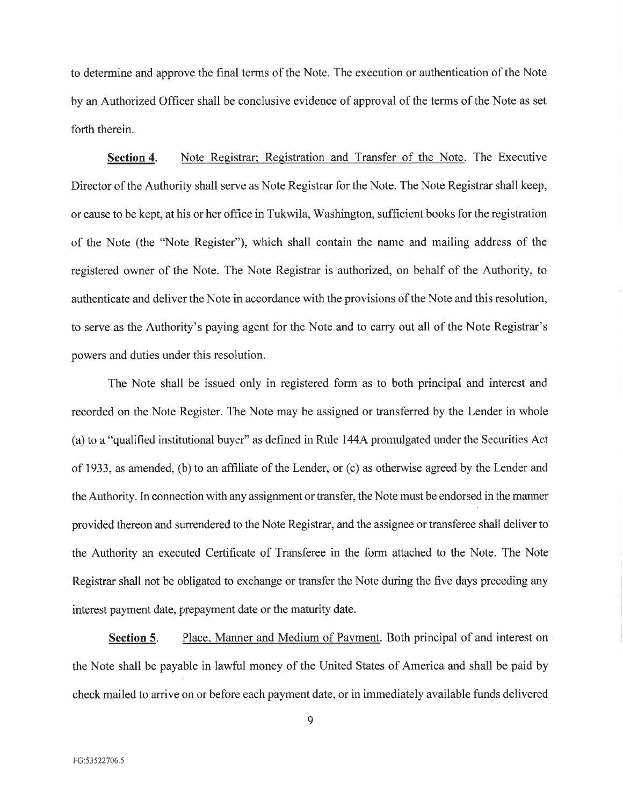to determine and approve the final terms of the Note. The execution or authentication of the Note by an Authorized Officer shall be conclusive evidence of approval of the terms of the Note as set forth therein.

Section 4. Note Registrar; Registration and Transfer of the Note. The Executive Director of the Authority shall serve as Note Registrar for the Note. The Note Registrar shall keep, or cause to be kept, at his or her office in Tukwila, Washington, sufficient books for the registration of the Note (the "Note Register"), which shall contain the name and mailing address of the registered owner of the Note. The Note Registrar is authorized, on behalf of the Authority, to authenticate and deliver the Note in accordance with the provisions of the Note and this resolution, to serve as the Authority's paying agent for the Note and to carry out all of the Note Registrar's powers and duties under this resolution.

The Note shall be issued only in registered form as to both principal and interest and recorded on the Note Register. The Note may be assigned or transferred by the Lender in whole (a) to a "qualified institutional buyer" as defined in Rule 144A promulgated under the Securities Act of 1933, as amended, (b) to an affiliate of the Lender, or (c) as otherwise agreed by the Lender and the Authority. In connection with any assignment or transfer, the Note must be endorsed in the manner provided thereon and surrendered to the Note Registrar, and the assignee or transferee shall deliver to the Authority an executed Certificate of Transferee in the form attached to the Note. The Note Registrar shall not be obligated to exchange or transfer the Note during the five days preceding any interest payment date, prepayment date or the maturity date.

Section 5. Place, Manner and Medium of Payment. Both principal of and interest on the Note shall be payable in lawful money of the United States of America and shall be paid by check mailed to arrive on or before each payment date, or in immediately available funds delivered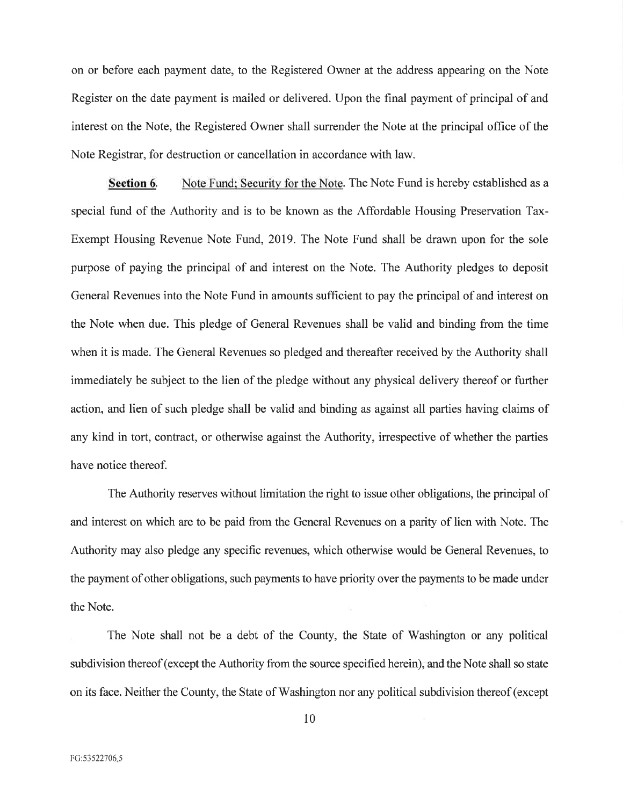on or before each payment date, to the Registered Owner at the address appearing on the Note Register on the date payment is mailed or delivered. Upon the final payment of principal of and interest on the Note, the Registered Owner shall surrender the Note at the principal office of the Note Registrar, for destruction or cancellation in accordance with law.

Note Fund: Security for the Note. The Note Fund is hereby established as a Section 6. special fund of the Authority and is to be known as the Affordable Housing Preservation Tax-Exempt Housing Revenue Note Fund, 2019. The Note Fund shall be drawn upon for the sole purpose of paying the principal of and interest on the Note. The Authority pledges to deposit General Revenues into the Note Fund in amounts sufficient to pay the principal of and interest on the Note when due. This pledge of General Revenues shall be valid and binding from the time when it is made. The General Revenues so pledged and thereafter received by the Authority shall immediately be subject to the lien of the pledge without any physical delivery thereof or further action, and lien of such pledge shall be valid and binding as against all parties having claims of any kind in tort, contract, or otherwise against the Authority, irrespective of whether the parties have notice thereof.

The Authority reserves without limitation the right to issue other obligations, the principal of and interest on which are to be paid from the General Revenues on a parity of lien with Note. The Authority may also pledge any specific revenues, which otherwise would be General Revenues, to the payment of other obligations, such payments to have priority over the payments to be made under the Note.

The Note shall not be a debt of the County, the State of Washington or any political subdivision thereof (except the Authority from the source specified herein), and the Note shall so state on its face. Neither the County, the State of Washington nor any political subdivision thereof (except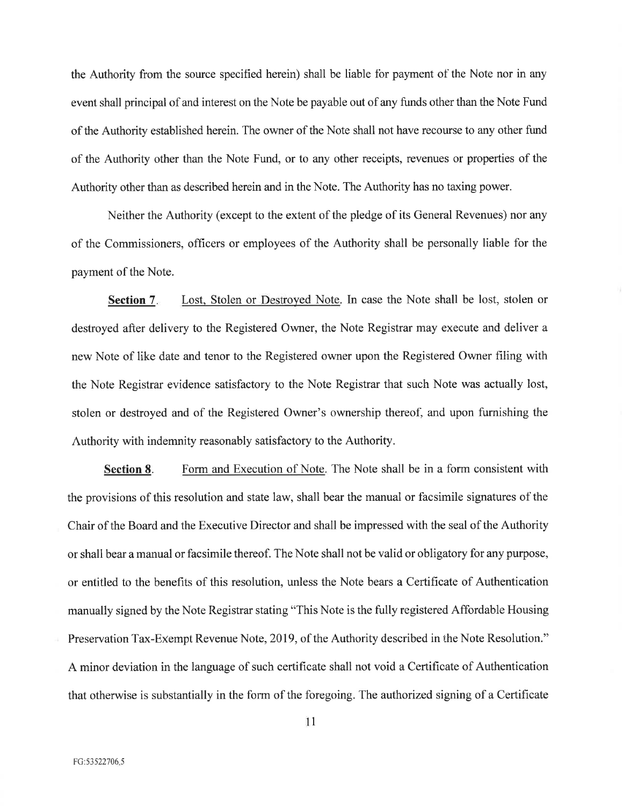the Authority from the source specified herein) shall be liable for payment of the Note nor in any event shall principal of and interest on the Note be payable out of any funds other than the Note Fund of the Authority established herein. The owner of the Note shall not have recourse to any other fund of the Authority other than the Note Fund, or to any other receipts, revenues or properties of the Authority other than as described herein and in the Note. The Authority has no taxing power.

Neither the Authority (except to the extent of the pledge of its General Revenues) nor any of the Commissioners, officers or employees of the Authority shall be personally liable for the payment of the Note.

Lost, Stolen or Destroyed Note. In case the Note shall be lost, stolen or **Section 7.** destroyed after delivery to the Registered Owner, the Note Registrar may execute and deliver a new Note of like date and tenor to the Registered owner upon the Registered Owner filing with the Note Registrar evidence satisfactory to the Note Registrar that such Note was actually lost, stolen or destroyed and of the Registered Owner's ownership thereof, and upon furnishing the Authority with indemnity reasonably satisfactory to the Authority.

Form and Execution of Note. The Note shall be in a form consistent with Section 8. the provisions of this resolution and state law, shall bear the manual or facsimile signatures of the Chair of the Board and the Executive Director and shall be impressed with the seal of the Authority or shall bear a manual or facsimile thereof. The Note shall not be valid or obligatory for any purpose, or entitled to the benefits of this resolution, unless the Note bears a Certificate of Authentication manually signed by the Note Registrar stating "This Note is the fully registered Affordable Housing Preservation Tax-Exempt Revenue Note, 2019, of the Authority described in the Note Resolution." A minor deviation in the language of such certificate shall not void a Certificate of Authentication that otherwise is substantially in the form of the foregoing. The authorized signing of a Certificate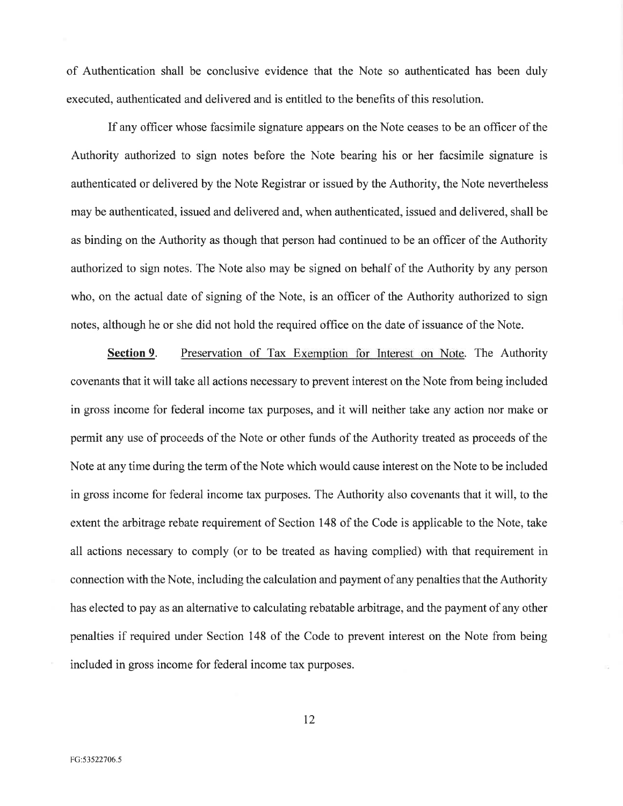of Authentication shall be conclusive evidence that the Note so authenticated has been duly executed, authenticated and delivered and is entitled to the benefits of this resolution.

If any officer whose facsimile signature appears on the Note ceases to be an officer of the Authority authorized to sign notes before the Note bearing his or her facsimile signature is authenticated or delivered by the Note Registrar or issued by the Authority, the Note nevertheless may be authenticated, issued and delivered and, when authenticated, issued and delivered, shall be as binding on the Authority as though that person had continued to be an officer of the Authority authorized to sign notes. The Note also may be signed on behalf of the Authority by any person who, on the actual date of signing of the Note, is an officer of the Authority authorized to sign notes, although he or she did not hold the required office on the date of issuance of the Note.

Section 9. Preservation of Tax Exemption for Interest on Note. The Authority covenants that it will take all actions necessary to prevent interest on the Note from being included in gross income for federal income tax purposes, and it will neither take any action nor make or permit any use of proceeds of the Note or other funds of the Authority treated as proceeds of the Note at any time during the term of the Note which would cause interest on the Note to be included in gross income for federal income tax purposes. The Authority also covenants that it will, to the extent the arbitrage rebate requirement of Section 148 of the Code is applicable to the Note, take all actions necessary to comply (or to be treated as having complied) with that requirement in connection with the Note, including the calculation and payment of any penalties that the Authority has elected to pay as an alternative to calculating rebatable arbitrage, and the payment of any other penalties if required under Section 148 of the Code to prevent interest on the Note from being included in gross income for federal income tax purposes.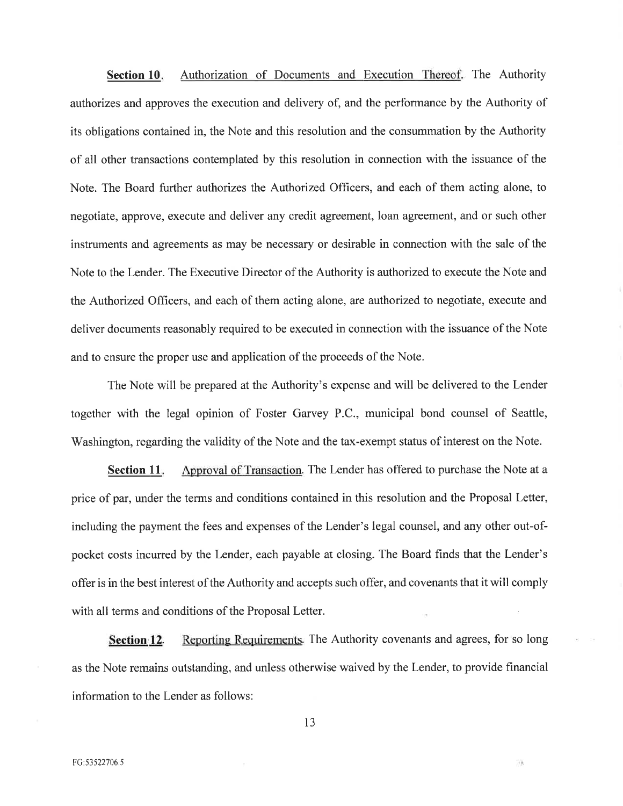Authorization of Documents and Execution Thereof. The Authority Section 10. authorizes and approves the execution and delivery of, and the performance by the Authority of its obligations contained in, the Note and this resolution and the consummation by the Authority of all other transactions contemplated by this resolution in connection with the issuance of the Note. The Board further authorizes the Authorized Officers, and each of them acting alone, to negotiate, approve, execute and deliver any credit agreement, loan agreement, and or such other instruments and agreements as may be necessary or desirable in connection with the sale of the Note to the Lender. The Executive Director of the Authority is authorized to execute the Note and the Authorized Officers, and each of them acting alone, are authorized to negotiate, execute and deliver documents reasonably required to be executed in connection with the issuance of the Note and to ensure the proper use and application of the proceeds of the Note.

The Note will be prepared at the Authority's expense and will be delivered to the Lender together with the legal opinion of Foster Garvey P.C., municipal bond counsel of Seattle, Washington, regarding the validity of the Note and the tax-exempt status of interest on the Note.

Section 11. Approval of Transaction. The Lender has offered to purchase the Note at a price of par, under the terms and conditions contained in this resolution and the Proposal Letter, including the payment the fees and expenses of the Lender's legal counsel, and any other out-ofpocket costs incurred by the Lender, each payable at closing. The Board finds that the Lender's offer is in the best interest of the Authority and accepts such offer, and covenants that it will comply with all terms and conditions of the Proposal Letter.

Reporting Requirements. The Authority covenants and agrees, for so long **Section 12.** as the Note remains outstanding, and unless otherwise waived by the Lender, to provide financial information to the Lender as follows:

33.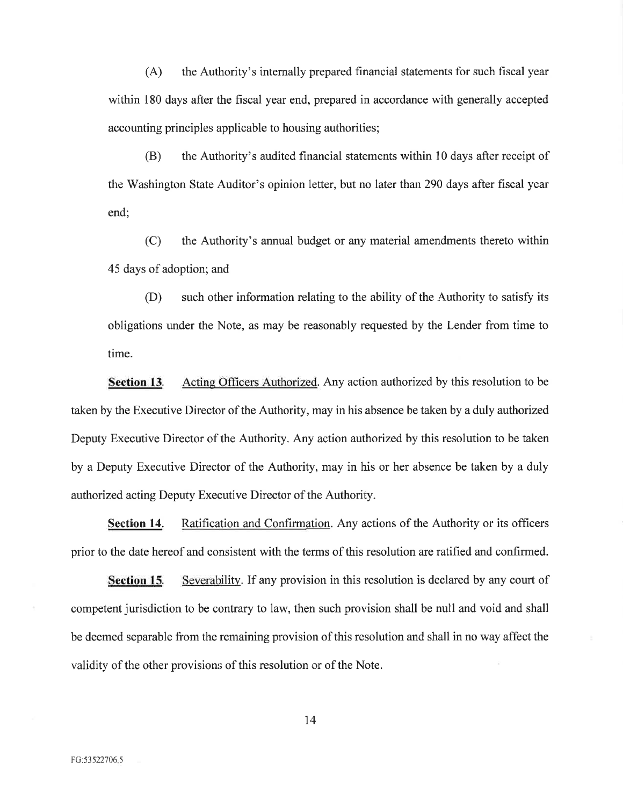$(A)$ the Authority's internally prepared financial statements for such fiscal year within 180 days after the fiscal year end, prepared in accordance with generally accepted accounting principles applicable to housing authorities;

(B) the Authority's audited financial statements within 10 days after receipt of the Washington State Auditor's opinion letter, but no later than 290 days after fiscal year end;

 $(C)$ the Authority's annual budget or any material amendments thereto within 45 days of adoption; and

 $(D)$ such other information relating to the ability of the Authority to satisfy its obligations under the Note, as may be reasonably requested by the Lender from time to time.

Section 13. Acting Officers Authorized. Any action authorized by this resolution to be taken by the Executive Director of the Authority, may in his absence be taken by a duly authorized Deputy Executive Director of the Authority. Any action authorized by this resolution to be taken by a Deputy Executive Director of the Authority, may in his or her absence be taken by a duly authorized acting Deputy Executive Director of the Authority.

**Section 14.** Ratification and Confirmation. Any actions of the Authority or its officers prior to the date hereof and consistent with the terms of this resolution are ratified and confirmed.

Section 15. Severability. If any provision in this resolution is declared by any court of competent jurisdiction to be contrary to law, then such provision shall be null and void and shall be deemed separable from the remaining provision of this resolution and shall in no way affect the validity of the other provisions of this resolution or of the Note.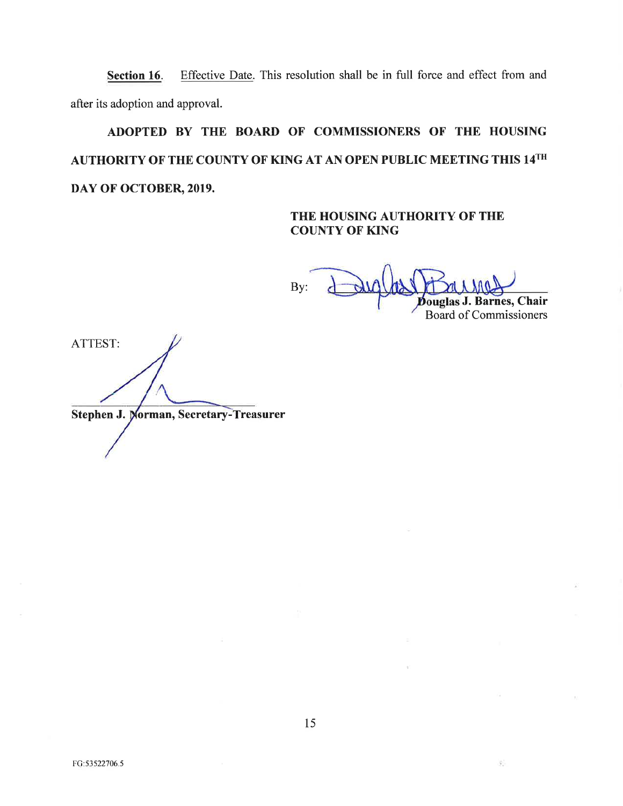Effective Date. This resolution shall be in full force and effect from and Section 16. after its adoption and approval.

# ADOPTED BY THE BOARD OF COMMISSIONERS OF THE HOUSING AUTHORITY OF THE COUNTY OF KING AT AN OPEN PUBLIC MEETING THIS 14TH DAY OF OCTOBER, 2019.

### THE HOUSING AUTHORITY OF THE **COUNTY OF KING**

By: ouglas J. Barnes, Chair

**Board of Commissioners** 

35

ATTEST:

**Stephen J. Morman, Secretary-Treasurer** 

FG:53522706.5

15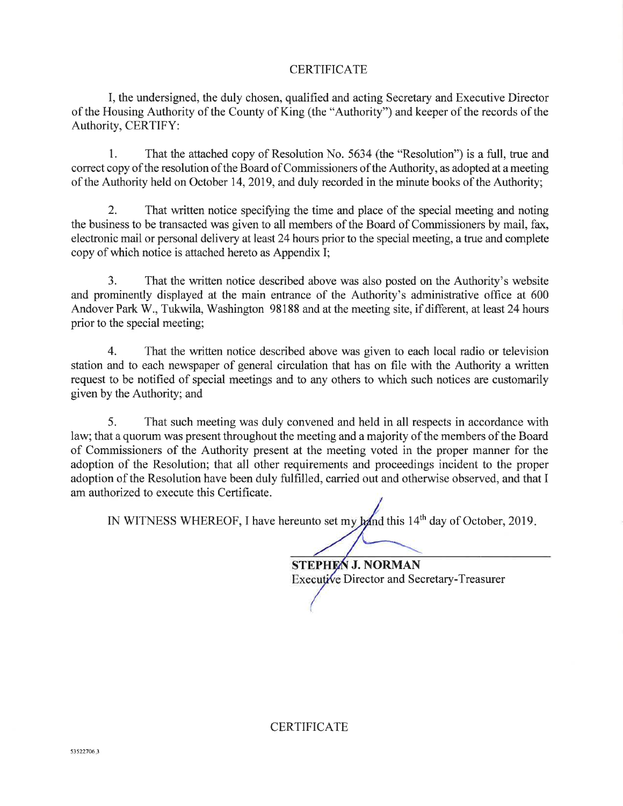### **CERTIFICATE**

I, the undersigned, the duly chosen, qualified and acting Secretary and Executive Director of the Housing Authority of the County of King (the "Authority") and keeper of the records of the Authority, CERTIFY:

 $\mathbf{1}$ . That the attached copy of Resolution No. 5634 (the "Resolution") is a full, true and correct copy of the resolution of the Board of Commissioners of the Authority, as adopted at a meeting of the Authority held on October 14, 2019, and duly recorded in the minute books of the Authority;

 $\overline{2}$ . That written notice specifying the time and place of the special meeting and noting the business to be transacted was given to all members of the Board of Commissioners by mail, fax, electronic mail or personal delivery at least 24 hours prior to the special meeting, a true and complete copy of which notice is attached hereto as Appendix I;

 $3.$ That the written notice described above was also posted on the Authority's website and prominently displayed at the main entrance of the Authority's administrative office at 600 Andover Park W., Tukwila, Washington 98188 and at the meeting site, if different, at least 24 hours prior to the special meeting;

 $\overline{4}$ . That the written notice described above was given to each local radio or television station and to each newspaper of general circulation that has on file with the Authority a written request to be notified of special meetings and to any others to which such notices are customarily given by the Authority; and

5. That such meeting was duly convened and held in all respects in accordance with law; that a quorum was present throughout the meeting and a majority of the members of the Board of Commissioners of the Authority present at the meeting voted in the proper manner for the adoption of the Resolution; that all other requirements and proceedings incident to the proper adoption of the Resolution have been duly fulfilled, carried out and otherwise observed, and that I am authorized to execute this Certificate.

IN WITNESS WHEREOF, I have hereunto set my hand this 14<sup>th</sup> day of October, 2019.

**STEPHEN J. NORMAN** Executive Director and Secretary-Treasurer

**CERTIFICATE**